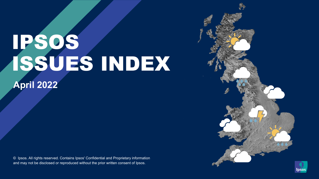# IPSOS ISSUES INDEX

**April 2022**

© Ipsos. All rights reserved. Contains Ipsos' Confidential and Proprietary information and may not be disclosed or reproduced without the prior written consent of Ipsos.



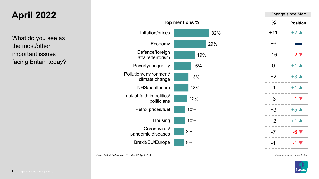#### **April 2022**

What do you see as the most/other important issues facing Britain today?



| Change since Mar: |                           |
|-------------------|---------------------------|
| ℅                 | <b>Position</b>           |
| $+11$             | $+2 \blacktriangle$       |
| $+6$              |                           |
| $-16$             | $-2$ $\blacktriangledown$ |
| 0                 | $+1$ $\triangle$          |
| +2                | $+3$ $\triangle$          |
| -1                | $+1$ $\triangle$          |
| -3                | $-1$ $\blacktriangledown$ |
| +3                | $+5\triangle$             |
| $+2$              | $+1$ $\triangle$          |
| -7                | $-6$ $\blacktriangledown$ |
| -1                | $-1$ $\blacktriangledown$ |
|                   |                           |

*Source: Ipsos Issues Index*

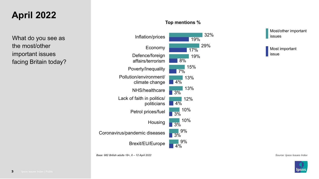#### **April 2022**

What do you see as the most/other important issues facing Britain today?

#### **Top mentions %**

32%



Most/other important issues

Most important issue

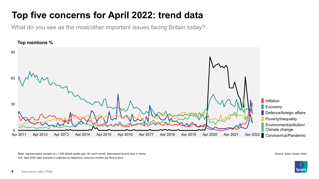### **Top five concerns for April 2022: trend data**

What do you see as the most/other important issues facing Britain today?



*Base: representative sample of c.1,000 British adults age 18+ each month, interviewed face-to-face in home Source: Ipsos Issues Index N.B. April 2020 data onwards is collected by telephone; previous months are face-to-face*

**pso**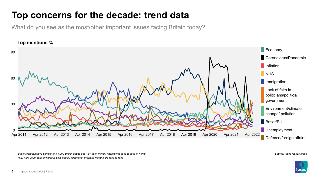#### **Top concerns for the decade: trend data**

What do you see as the most/other important issues facing Britain today?



*Base: representative sample of c.1,000 British adults age 18+ each month, interviewed face-to-face in home Source: Ipsos Issues Index N.B. April 2020 data onwards is collected by telephone; previous months are face-to-face*

**IDSO** 

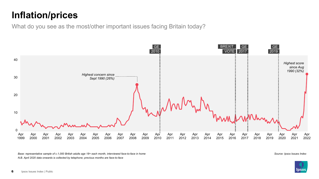#### **Inflation/prices**

What do you see as the most/other important issues facing Britain today?



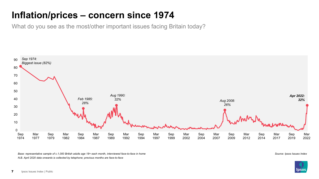#### **Inflation/prices – concern since 1974**

What do you see as the most/other important issues facing Britain today?



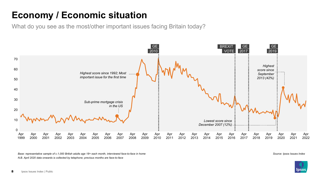#### **Economy / Economic situation**

What do you see as the most/other important issues facing Britain today?



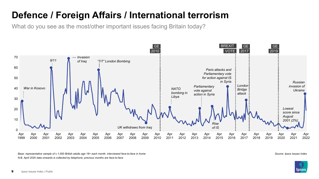#### **Defence / Foreign Affairs / International terrorism**

What do you see as the most/other important issues facing Britain today?



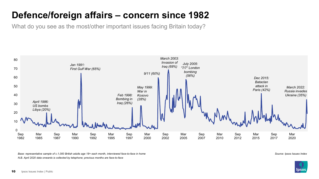#### **Defence/foreign affairs – concern since 1982**

What do you see as the most/other important issues facing Britain today?



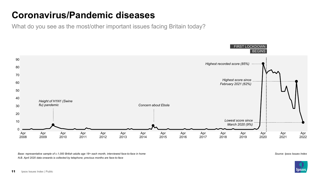#### **Coronavirus/Pandemic diseases**

What do you see as the most/other important issues facing Britain today?



*Base: representative sample of c.1,000 British adults age 18+ each month, interviewed face-to-face in home N.B. April 2020 data onwards is collected by telephone; previous months are face-to-face*

*Source: Ipsos Issues Index*

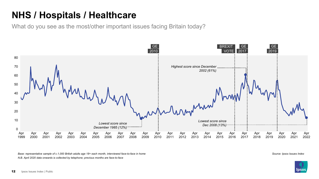#### **NHS / Hospitals / Healthcare**

What do you see as the most/other important issues facing Britain today?



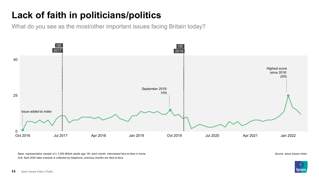### **Lack of faith in politicians/politics**

What do you see as the most/other important issues facing Britain today?



*Base: representative sample of c.1,000 British adults age 18+ each month, interviewed face-to-face in home N.B. April 2020 data onwards is collected by telephone; previous months are face-to-face*

*Source: Ipsos Issues Index*

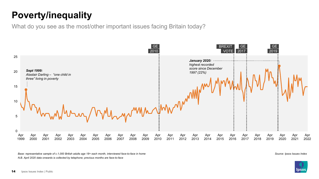### **Poverty/inequality**

What do you see as the most/other important issues facing Britain today?



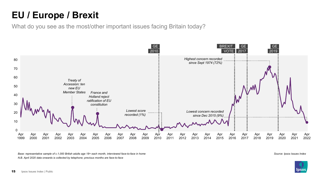### **EU / Europe / Brexit**

What do you see as the most/other important issues facing Britain today?



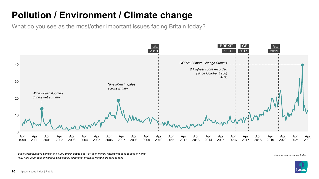## **Pollution / Environment / Climate change**

What do you see as the most/other important issues facing Britain today?



*N.B. April 2020 data onwards is collected by telephone; previous months are face-to-face* Base: representative sample of c.1,000 British adults age 18+ each month, interviewed face-to-face in home<br>Source: Ipsos Issues Index

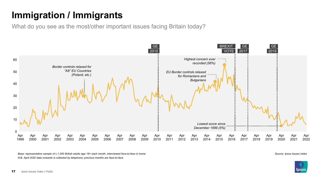### **Immigration / Immigrants**

What do you see as the most/other important issues facing Britain today?



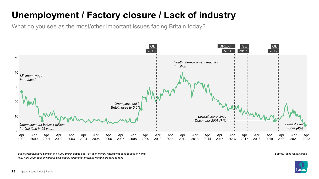#### **Unemployment / Factory closure / Lack of industry**

What do you see as the most/other important issues facing Britain today?



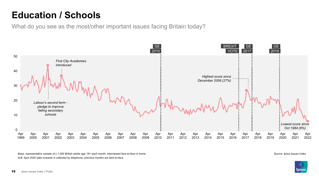#### **Education / Schools**

What do you see as the most/other important issues facing Britain today?



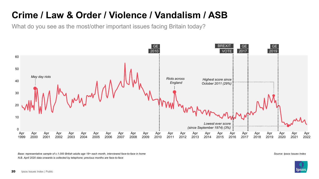#### **Crime / Law & Order / Violence / Vandalism / ASB**

What do you see as the most/other important issues facing Britain today?



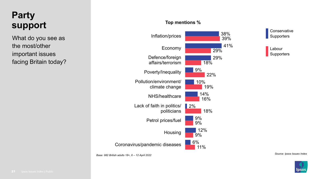#### **Party support**

What do you see as the most/other important issues facing Britain today?

#### **Top mentions %**



**Conservative Supporters** 

Labour **Supporters** 

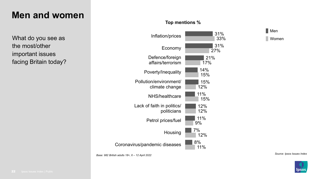#### **Men and women**

What do you see as the most/other important issues facing Britain today?





Women

*Source: Ipsos Issues Index Base: 982 British adults 18+, 6 – 12 April 2022*

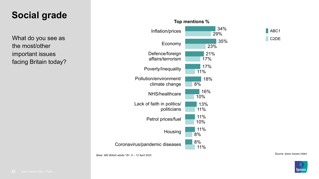#### **Social grade**

What do you see as the most/other important issues facing Britain today?





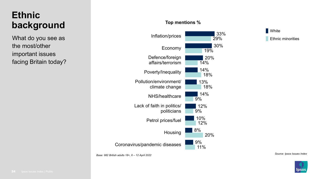#### **Ethnic background**

What do you see as the most/other important issues facing Britain today?





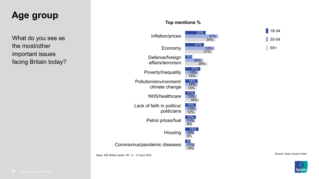#### **Age group**

What do you see as the most/other important issues facing Britain today?

#### **Top mentions %**



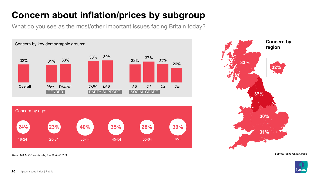## **Concern about inflation/prices by subgroup**

What do you see as the most/other important issues facing Britain today?



*Source: Ipsos Issues Index Base: 982 British adults 18+, 6 – 12 April 2022*



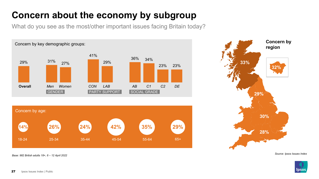### **Concern about the economy by subgroup**

What do you see as the most/other important issues facing Britain today?





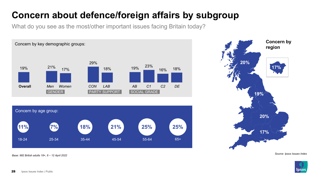#### **Concern about defence/foreign affairs by subgroup**

What do you see as the most/other important issues facing Britain today?



*Base: 982 British adults 18+, 6 – 12 April 2022*



*Source: Ipsos Issues Index*